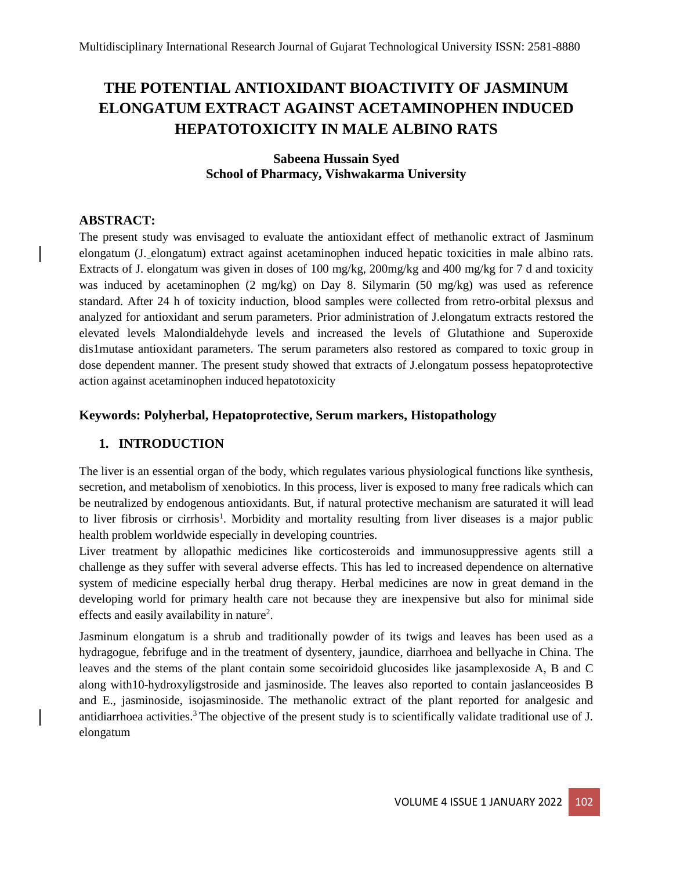# **THE POTENTIAL ANTIOXIDANT BIOACTIVITY OF JASMINUM ELONGATUM EXTRACT AGAINST ACETAMINOPHEN INDUCED HEPATOTOXICITY IN MALE ALBINO RATS**

# **Sabeena Hussain Syed School of Pharmacy, Vishwakarma University**

# **ABSTRACT:**

The present study was envisaged to evaluate the antioxidant effect of methanolic extract of Jasminum elongatum (J. elongatum) extract against acetaminophen induced hepatic toxicities in male albino rats. Extracts of J. elongatum was given in doses of 100 mg/kg, 200mg/kg and 400 mg/kg for 7 d and toxicity was induced by acetaminophen (2 mg/kg) on Day 8. Silymarin (50 mg/kg) was used as reference standard. After 24 h of toxicity induction, blood samples were collected from retro-orbital plexsus and analyzed for antioxidant and serum parameters. Prior administration of J.elongatum extracts restored the elevated levels Malondialdehyde levels and increased the levels of Glutathione and Superoxide dis1mutase antioxidant parameters. The serum parameters also restored as compared to toxic group in dose dependent manner. The present study showed that extracts of J.elongatum possess hepatoprotective action against acetaminophen induced hepatotoxicity

## **Keywords: Polyherbal, Hepatoprotective, Serum markers, Histopathology**

# **1. INTRODUCTION**

The liver is an essential organ of the body, which regulates various physiological functions like synthesis, secretion, and metabolism of xenobiotics. In this process, liver is exposed to many free radicals which can be neutralized by endogenous antioxidants. But, if natural protective mechanism are saturated it will lead to liver fibrosis or cirrhosis<sup>1</sup>. Morbidity and mortality resulting from liver diseases is a major public health problem worldwide especially in developing countries.

Liver treatment by allopathic medicines like corticosteroids and immunosuppressive agents still a challenge as they suffer with several adverse effects. This has led to increased dependence on alternative system of medicine especially herbal drug therapy. Herbal medicines are now in great demand in the developing world for primary health care not because they are inexpensive but also for minimal side effects and easily availability in nature<sup>2</sup>.

Jasminum elongatum is a shrub and traditionally powder of its twigs and leaves has been used as a hydragogue, febrifuge and in the treatment of dysentery, jaundice, diarrhoea and bellyache in China. The leaves and the stems of the plant contain some secoiridoid glucosides like jasamplexoside A, B and C along with10-hydroxyligstroside and jasminoside. The leaves also reported to contain jaslanceosides B and E., jasminoside, isojasminoside. The methanolic extract of the plant reported for analgesic and antidiarrhoea activities.<sup>3</sup> The objective of the present study is to scientifically validate traditional use of J. elongatum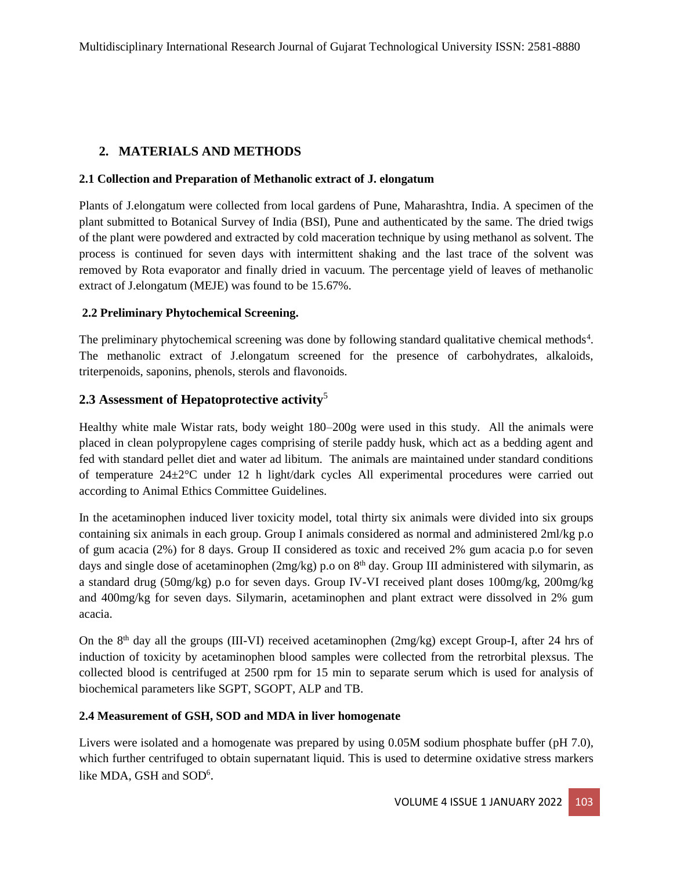# **2. MATERIALS AND METHODS**

#### **2.1 Collection and Preparation of Methanolic extract of J. elongatum**

Plants of J.elongatum were collected from local gardens of Pune, Maharashtra, India. A specimen of the plant submitted to Botanical Survey of India (BSI), Pune and authenticated by the same. The dried twigs of the plant were powdered and extracted by cold maceration technique by using methanol as solvent. The process is continued for seven days with intermittent shaking and the last trace of the solvent was removed by Rota evaporator and finally dried in vacuum. The percentage yield of leaves of methanolic extract of J.elongatum (MEJE) was found to be 15.67%.

#### **2.2 Preliminary Phytochemical Screening.**

The preliminary phytochemical screening was done by following standard qualitative chemical methods<sup>4</sup>. The methanolic extract of J.elongatum screened for the presence of carbohydrates, alkaloids, triterpenoids, saponins, phenols, sterols and flavonoids.

# **2.3 Assessment of Hepatoprotective activity**<sup>5</sup>

Healthy white male Wistar rats, body weight 180–200g were used in this study. All the animals were placed in clean polypropylene cages comprising of sterile paddy husk, which act as a bedding agent and fed with standard pellet diet and water ad libitum. The animals are maintained under standard conditions of temperature 24±2°C under 12 h light/dark cycles All experimental procedures were carried out according to Animal Ethics Committee Guidelines.

In the acetaminophen induced liver toxicity model, total thirty six animals were divided into six groups containing six animals in each group. Group I animals considered as normal and administered 2ml/kg p.o of gum acacia (2%) for 8 days. Group II considered as toxic and received 2% gum acacia p.o for seven days and single dose of acetaminophen ( $2mg/kg$ ) p.o on  $8<sup>th</sup>$  day. Group III administered with silymarin, as a standard drug (50mg/kg) p.o for seven days. Group IV-VI received plant doses 100mg/kg, 200mg/kg and 400mg/kg for seven days. Silymarin, acetaminophen and plant extract were dissolved in 2% gum acacia.

On the 8th day all the groups (III-VI) received acetaminophen (2mg/kg) except Group-I, after 24 hrs of induction of toxicity by acetaminophen blood samples were collected from the retrorbital plexsus. The collected blood is centrifuged at 2500 rpm for 15 min to separate serum which is used for analysis of biochemical parameters like SGPT, SGOPT, ALP and TB.

#### **2.4 Measurement of GSH, SOD and MDA in liver homogenate**

Livers were isolated and a homogenate was prepared by using 0.05M sodium phosphate buffer (pH 7.0), which further centrifuged to obtain supernatant liquid. This is used to determine oxidative stress markers like MDA, GSH and SOD<sup>6</sup>.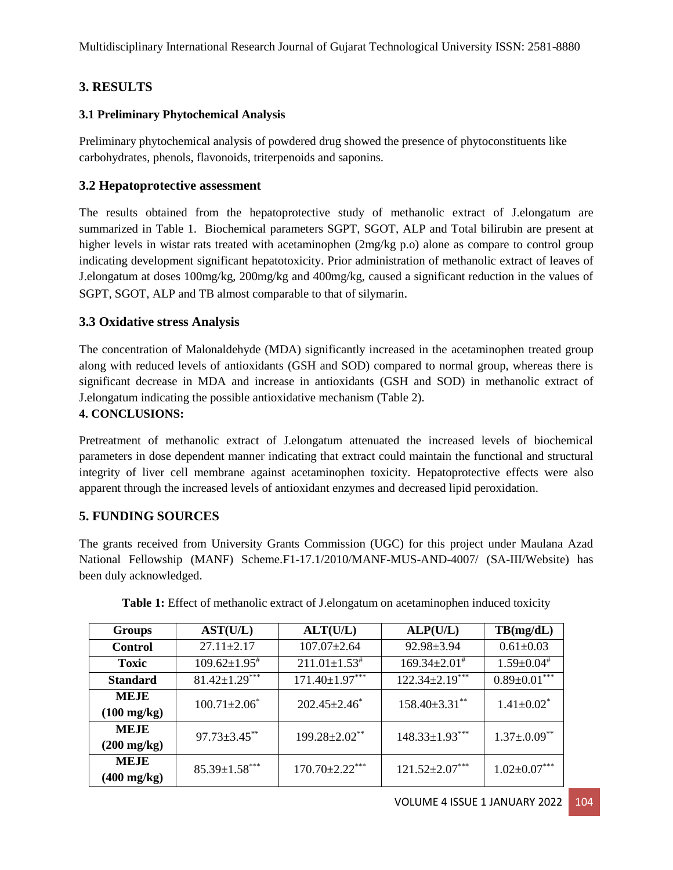# **3. RESULTS**

# **3.1 Preliminary Phytochemical Analysis**

Preliminary phytochemical analysis of powdered drug showed the presence of phytoconstituents like carbohydrates, phenols, flavonoids, triterpenoids and saponins.

# **3.2 Hepatoprotective assessment**

The results obtained from the hepatoprotective study of methanolic extract of J.elongatum are summarized in Table 1. Biochemical parameters SGPT, SGOT, ALP and Total bilirubin are present at higher levels in wistar rats treated with acetaminophen (2mg/kg p.o) alone as compare to control group indicating development significant hepatotoxicity. Prior administration of methanolic extract of leaves of J.elongatum at doses 100mg/kg, 200mg/kg and 400mg/kg, caused a significant reduction in the values of SGPT, SGOT, ALP and TB almost comparable to that of silymarin.

## **3.3 Oxidative stress Analysis**

The concentration of Malonaldehyde (MDA) significantly increased in the acetaminophen treated group along with reduced levels of antioxidants (GSH and SOD) compared to normal group, whereas there is significant decrease in MDA and increase in antioxidants (GSH and SOD) in methanolic extract of J.elongatum indicating the possible antioxidative mechanism (Table 2).

#### **4. CONCLUSIONS:**

Pretreatment of methanolic extract of J.elongatum attenuated the increased levels of biochemical parameters in dose dependent manner indicating that extract could maintain the functional and structural integrity of liver cell membrane against acetaminophen toxicity. Hepatoprotective effects were also apparent through the increased levels of antioxidant enzymes and decreased lipid peroxidation.

# **5. FUNDING SOURCES**

The grants received from University Grants Commission (UGC) for this project under Maulana Azad National Fellowship (MANF) Scheme.F1-17.1/2010/MANF-MUS-AND-4007/ (SA-III/Website) has been duly acknowledged.

| <b>Groups</b>         | AST(U/L)                       | ALT(U/L)                       | ALP(U/L)                       | TB(mg/dL)                     |
|-----------------------|--------------------------------|--------------------------------|--------------------------------|-------------------------------|
| <b>Control</b>        | $27.11 \pm 2.17$               | $107.07 \pm 2.64$              | $92.98 \pm 3.94$               | $0.61 \pm 0.03$               |
| <b>Toxic</b>          | $109.62 \pm 1.95$ <sup>#</sup> | $211.01 \pm 1.53$ <sup>#</sup> | $169.34 \pm 2.01$ <sup>#</sup> | $1.59 \pm 0.04$ #             |
| <b>Standard</b>       | $81.42 \pm 1.29***$            | $171.40 \pm 1.97***$           | $122.34 \pm 2.19***$           | $0.89 \pm 0.01***$            |
| <b>MEJE</b>           | $100.71 \pm 2.06^*$            | $202.45 \pm 2.46^*$            | $158.40\pm3.31$ **             | $1.41 \pm 0.02^*$             |
| $(100 \text{ mg/kg})$ |                                |                                |                                |                               |
| <b>MEJE</b>           | $97.73 \pm 3.45$ **            | 199.28±2.02**                  | $148.33 \pm 1.93***$           | $1.37 \pm 0.09$ <sup>**</sup> |
| $(200 \text{ mg/kg})$ |                                |                                |                                |                               |
| <b>MEJE</b>           | $85.39 \pm 1.58***$            | $170.70 \pm 2.22***$           | $121.52 \pm 2.07***$           | $1.02 \pm 0.07***$            |
| $(400 \text{ mg/kg})$ |                                |                                |                                |                               |

**Table 1:** Effect of methanolic extract of J.elongatum on acetaminophen induced toxicity